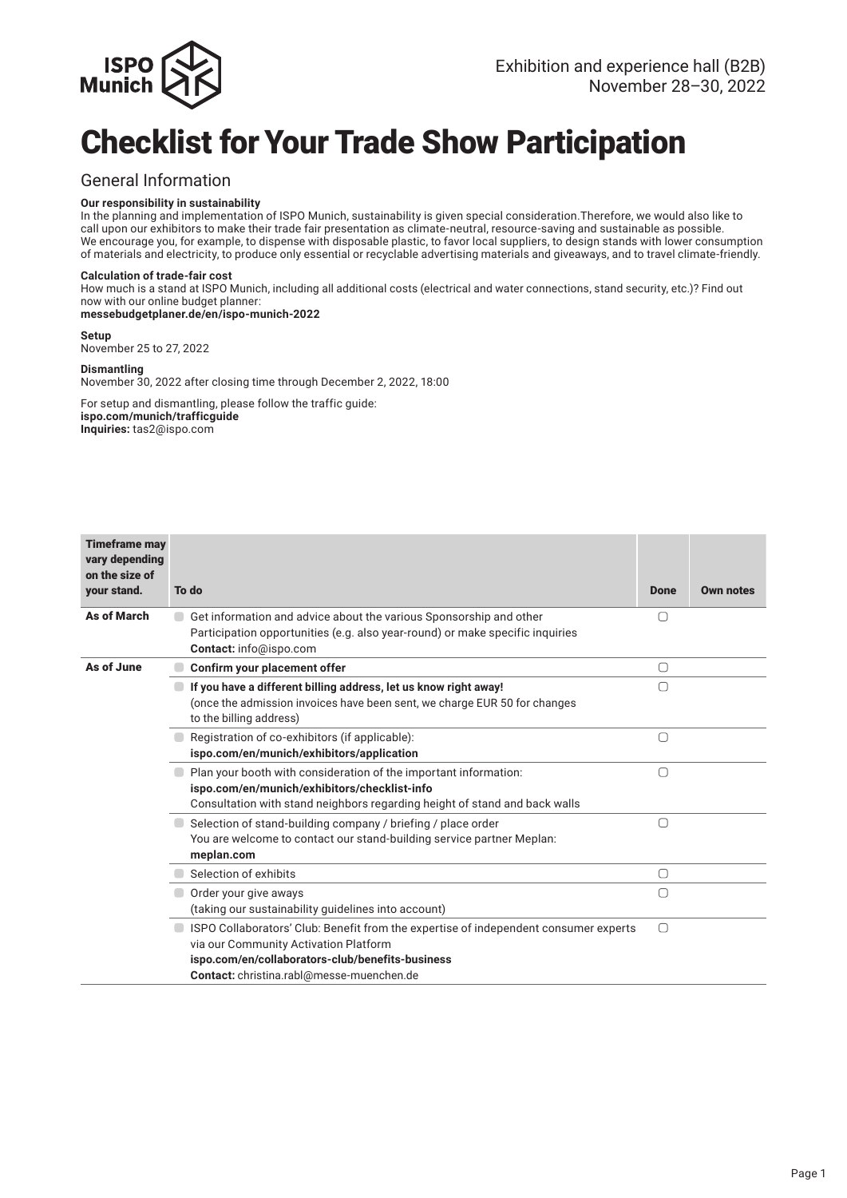

## Checklist for Your Trade Show Participation

### General Information

#### **Our responsibility in sustainability**

In the planning and implementation of ISPO Munich, sustainability is given special consideration. Therefore, we would also like to call upon our exhibitors to make their trade fair presentation as climate-neutral, resource-saving and sustainable as possible. We encourage you, for example, to dispense with disposable plastic, to favor local suppliers, to design stands with lower consumption of materials and electricity, to produce only essential or recyclable advertising materials and giveaways, and to travel climate-friendly.

#### **Calculation of trade-fair cost**

How much is a stand at ISPO Munich, including all additional costs (electrical and water connections, stand security, etc.)? Find out now with our online budget planner:

### **messebudgetplaner.de/en/ispo-munich-2022**

**Setup** November 25 to 27, 2022

### **Dismantling**

November 30, 2022 after closing time through December 2, 2022, 18:00

For setup and dismantling, please follow the traffic guide: **ispo.com/munich/trafficguide Inquiries:** tas2@ispo.com

| <b>Timeframe may</b><br>vary depending<br>on the size of |                                                                                                                                                                                                |             |                  |
|----------------------------------------------------------|------------------------------------------------------------------------------------------------------------------------------------------------------------------------------------------------|-------------|------------------|
| your stand.                                              | To do                                                                                                                                                                                          | <b>Done</b> | <b>Own notes</b> |
| As of March                                              | Get information and advice about the various Sponsorship and other<br>Participation opportunities (e.g. also year-round) or make specific inquiries<br>Contact: info@ispo.com                  | 〔 〕         |                  |
| As of June                                               | Confirm your placement offer                                                                                                                                                                   | 0           |                  |
|                                                          | If you have a different billing address, let us know right away!<br>(once the admission invoices have been sent, we charge EUR 50 for changes<br>to the billing address)                       | 〔 〕         |                  |
|                                                          | Registration of co-exhibitors (if applicable):<br>ispo.com/en/munich/exhibitors/application                                                                                                    | $\Box$      |                  |
|                                                          | Plan your booth with consideration of the important information:<br>ispo.com/en/munich/exhibitors/checklist-info<br>Consultation with stand neighbors regarding height of stand and back walls | $\bigcap$   |                  |
|                                                          | Selection of stand-building company / briefing / place order<br>You are welcome to contact our stand-building service partner Meplan:<br>meplan.com                                            | □           |                  |
|                                                          | Selection of exhibits                                                                                                                                                                          | $\bigcirc$  |                  |
|                                                          | Order your give aways<br>(taking our sustainability guidelines into account)                                                                                                                   | ∩           |                  |
|                                                          | ISPO Collaborators' Club: Benefit from the expertise of independent consumer experts<br>via our Community Activation Platform<br>ispo.com/en/collaborators-club/benefits-business              | ∩           |                  |
|                                                          | Contact: christina.rabl@messe-muenchen.de                                                                                                                                                      |             |                  |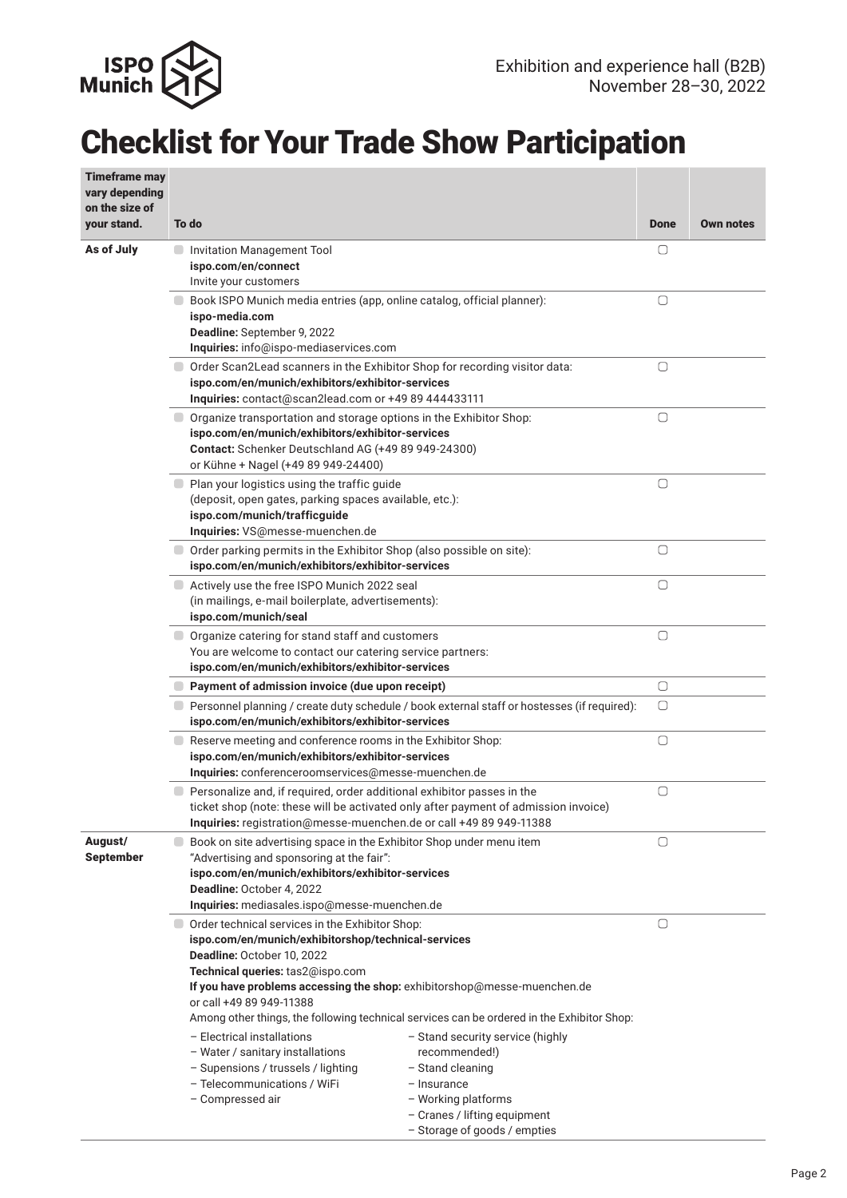

## Checklist for Your Trade Show Participation

| <b>Timeframe may</b><br>vary depending<br>on the size of | To do                                                                                                                                                                                                                                                                                                                                                                                                                                                                                                                                                                                                                                                                                    | <b>Done</b> | <b>Own notes</b> |
|----------------------------------------------------------|------------------------------------------------------------------------------------------------------------------------------------------------------------------------------------------------------------------------------------------------------------------------------------------------------------------------------------------------------------------------------------------------------------------------------------------------------------------------------------------------------------------------------------------------------------------------------------------------------------------------------------------------------------------------------------------|-------------|------------------|
| your stand.                                              |                                                                                                                                                                                                                                                                                                                                                                                                                                                                                                                                                                                                                                                                                          |             |                  |
| As of July                                               | Invitation Management Tool<br>ispo.com/en/connect<br>Invite your customers                                                                                                                                                                                                                                                                                                                                                                                                                                                                                                                                                                                                               | O           |                  |
|                                                          | Book ISPO Munich media entries (app, online catalog, official planner):<br>ispo-media.com<br>Deadline: September 9, 2022<br>Inquiries: info@ispo-mediaservices.com                                                                                                                                                                                                                                                                                                                                                                                                                                                                                                                       | O           |                  |
|                                                          | Order Scan2Lead scanners in the Exhibitor Shop for recording visitor data:<br>ispo.com/en/munich/exhibitors/exhibitor-services<br>Inquiries: contact@scan2lead.com or +49 89 444433111                                                                                                                                                                                                                                                                                                                                                                                                                                                                                                   | $\bigcirc$  |                  |
|                                                          | O Organize transportation and storage options in the Exhibitor Shop:<br>ispo.com/en/munich/exhibitors/exhibitor-services<br>Contact: Schenker Deutschland AG (+49 89 949-24300)<br>or Kühne + Nagel (+49 89 949-24400)                                                                                                                                                                                                                                                                                                                                                                                                                                                                   | $\Box$      |                  |
|                                                          | ■ Plan your logistics using the traffic guide<br>(deposit, open gates, parking spaces available, etc.):<br>ispo.com/munich/trafficguide<br>Inquiries: VS@messe-muenchen.de                                                                                                                                                                                                                                                                                                                                                                                                                                                                                                               | $\bigcirc$  |                  |
|                                                          | Order parking permits in the Exhibitor Shop (also possible on site):<br>ispo.com/en/munich/exhibitors/exhibitor-services                                                                                                                                                                                                                                                                                                                                                                                                                                                                                                                                                                 | $\bigcirc$  |                  |
|                                                          | Actively use the free ISPO Munich 2022 seal<br>(in mailings, e-mail boilerplate, advertisements):<br>ispo.com/munich/seal                                                                                                                                                                                                                                                                                                                                                                                                                                                                                                                                                                | $\bigcirc$  |                  |
|                                                          | Organize catering for stand staff and customers<br>$\blacksquare$<br>You are welcome to contact our catering service partners:<br>ispo.com/en/munich/exhibitors/exhibitor-services                                                                                                                                                                                                                                                                                                                                                                                                                                                                                                       | $\bigcirc$  |                  |
|                                                          | Payment of admission invoice (due upon receipt)                                                                                                                                                                                                                                                                                                                                                                                                                                                                                                                                                                                                                                          | 0           |                  |
|                                                          | Personnel planning / create duty schedule / book external staff or hostesses (if required):<br>ispo.com/en/munich/exhibitors/exhibitor-services                                                                                                                                                                                                                                                                                                                                                                                                                                                                                                                                          | $\bigcap$   |                  |
|                                                          | Reserve meeting and conference rooms in the Exhibitor Shop:<br>ispo.com/en/munich/exhibitors/exhibitor-services<br>Inquiries: conferenceroomservices@messe-muenchen.de                                                                                                                                                                                                                                                                                                                                                                                                                                                                                                                   | $\Box$      |                  |
|                                                          | Personalize and, if required, order additional exhibitor passes in the<br>ticket shop (note: these will be activated only after payment of admission invoice)<br>Inquiries: registration@messe-muenchen.de or call +49 89 949-11388                                                                                                                                                                                                                                                                                                                                                                                                                                                      | 0           |                  |
| August/<br><b>September</b>                              | Book on site advertising space in the Exhibitor Shop under menu item<br>۰<br>"Advertising and sponsoring at the fair":<br>ispo.com/en/munich/exhibitors/exhibitor-services<br>Deadline: October 4, 2022<br>Inquiries: mediasales.ispo@messe-muenchen.de                                                                                                                                                                                                                                                                                                                                                                                                                                  | 0           |                  |
|                                                          | Order technical services in the Exhibitor Shop:<br>ispo.com/en/munich/exhibitorshop/technical-services<br>Deadline: October 10, 2022<br>Technical queries: tas2@ispo.com<br>If you have problems accessing the shop: exhibitorshop@messe-muenchen.de<br>or call +49 89 949-11388<br>Among other things, the following technical services can be ordered in the Exhibitor Shop:<br>- Electrical installations<br>- Stand security service (highly<br>- Water / sanitary installations<br>recommended!)<br>- Supensions / trussels / lighting<br>- Stand cleaning<br>- Telecommunications / WiFi<br>- Insurance<br>- Compressed air<br>- Working platforms<br>- Cranes / lifting equipment | □           |                  |